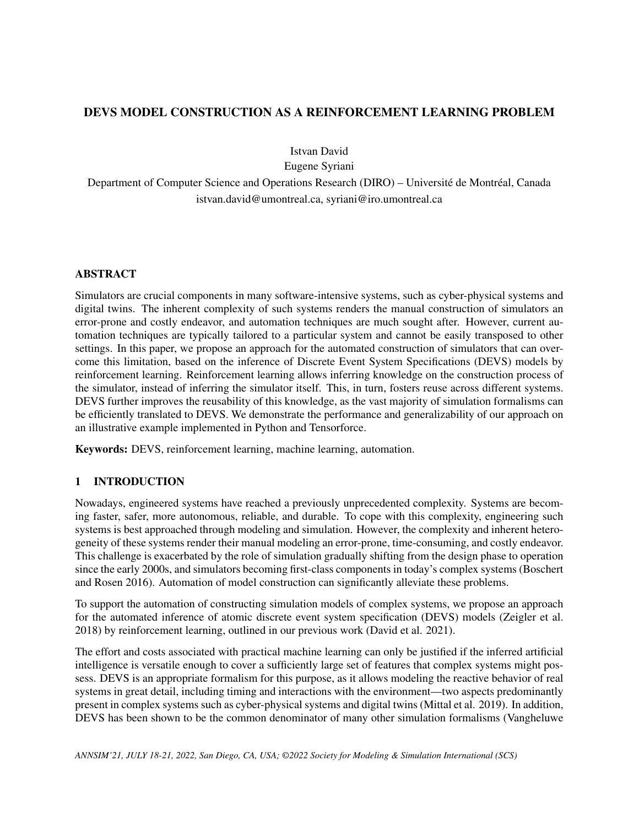# DEVS MODEL CONSTRUCTION AS A REINFORCEMENT LEARNING PROBLEM

Istvan David

Eugene Syriani

Department of Computer Science and Operations Research (DIRO) – Université de Montréal, Canada istvan.david@umontreal.ca, syriani@iro.umontreal.ca

## ABSTRACT

Simulators are crucial components in many software-intensive systems, such as cyber-physical systems and digital twins. The inherent complexity of such systems renders the manual construction of simulators an error-prone and costly endeavor, and automation techniques are much sought after. However, current automation techniques are typically tailored to a particular system and cannot be easily transposed to other settings. In this paper, we propose an approach for the automated construction of simulators that can overcome this limitation, based on the inference of Discrete Event System Specifications (DEVS) models by reinforcement learning. Reinforcement learning allows inferring knowledge on the construction process of the simulator, instead of inferring the simulator itself. This, in turn, fosters reuse across different systems. DEVS further improves the reusability of this knowledge, as the vast majority of simulation formalisms can be efficiently translated to DEVS. We demonstrate the performance and generalizability of our approach on an illustrative example implemented in Python and Tensorforce.

Keywords: DEVS, reinforcement learning, machine learning, automation.

# 1 INTRODUCTION

Nowadays, engineered systems have reached a previously unprecedented complexity. Systems are becoming faster, safer, more autonomous, reliable, and durable. To cope with this complexity, engineering such systems is best approached through modeling and simulation. However, the complexity and inherent heterogeneity of these systems render their manual modeling an error-prone, time-consuming, and costly endeavor. This challenge is exacerbated by the role of simulation gradually shifting from the design phase to operation since the early 2000s, and simulators becoming first-class components in today's complex systems [\(Boschert](#page-10-0) [and Rosen 2016\)](#page-10-0). Automation of model construction can significantly alleviate these problems.

To support the automation of constructing simulation models of complex systems, we propose an approach for the automated inference of atomic discrete event system specification (DEVS) models [\(Zeigler et al.](#page-11-0) [2018\)](#page-11-0) by reinforcement learning, outlined in our previous work [\(David et al. 2021\)](#page-10-1).

The effort and costs associated with practical machine learning can only be justified if the inferred artificial intelligence is versatile enough to cover a sufficiently large set of features that complex systems might possess. DEVS is an appropriate formalism for this purpose, as it allows modeling the reactive behavior of real systems in great detail, including timing and interactions with the environment—two aspects predominantly present in complex systems such as cyber-physical systems and digital twins [\(Mittal et al. 2019\)](#page-11-1). In addition, DEVS has been shown to be the common denominator of many other simulation formalisms [\(Vangheluwe](#page-11-2)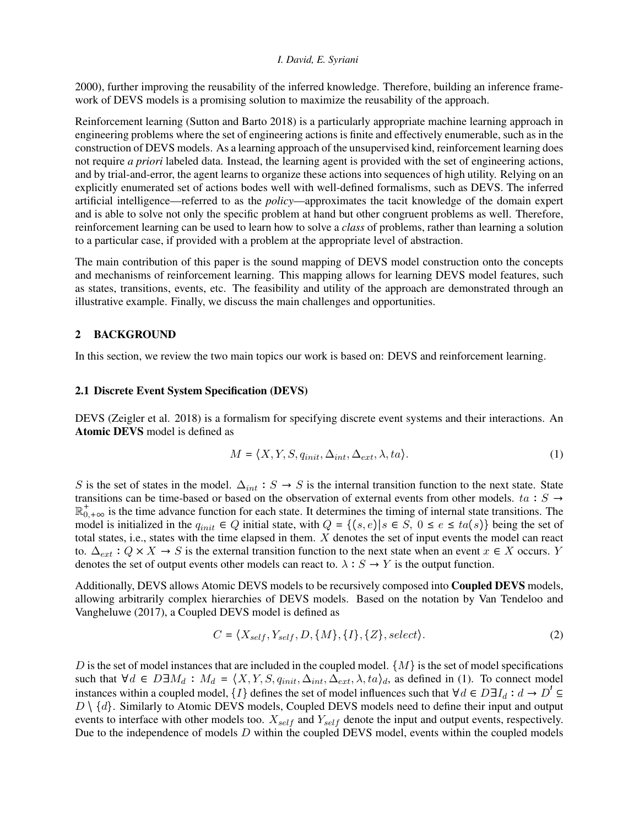[2000\)](#page-11-2), further improving the reusability of the inferred knowledge. Therefore, building an inference framework of DEVS models is a promising solution to maximize the reusability of the approach.

Reinforcement learning [\(Sutton and Barto 2018\)](#page-11-3) is a particularly appropriate machine learning approach in engineering problems where the set of engineering actions is finite and effectively enumerable, such as in the construction of DEVS models. As a learning approach of the unsupervised kind, reinforcement learning does not require *a priori* labeled data. Instead, the learning agent is provided with the set of engineering actions, and by trial-and-error, the agent learns to organize these actions into sequences of high utility. Relying on an explicitly enumerated set of actions bodes well with well-defined formalisms, such as DEVS. The inferred artificial intelligence—referred to as the *policy*—approximates the tacit knowledge of the domain expert and is able to solve not only the specific problem at hand but other congruent problems as well. Therefore, reinforcement learning can be used to learn how to solve a *class* of problems, rather than learning a solution to a particular case, if provided with a problem at the appropriate level of abstraction.

The main contribution of this paper is the sound mapping of DEVS model construction onto the concepts and mechanisms of reinforcement learning. This mapping allows for learning DEVS model features, such as states, transitions, events, etc. The feasibility and utility of the approach are demonstrated through an illustrative example. Finally, we discuss the main challenges and opportunities.

### 2 BACKGROUND

In this section, we review the two main topics our work is based on: DEVS and reinforcement learning.

### 2.1 Discrete Event System Specification (DEVS)

DEVS [\(Zeigler et al. 2018\)](#page-11-0) is a formalism for specifying discrete event systems and their interactions. An Atomic DEVS model is defined as

<span id="page-1-0"></span>
$$
M = \langle X, Y, S, q_{init}, \Delta_{int}, \Delta_{ext}, \lambda, ta \rangle.
$$
 (1)

S is the set of states in the model.  $\Delta_{int}$ : S → S is the internal transition function to the next state. State transitions can be time-based or based on the observation of external events from other models. ta :  $S \rightarrow$  $\mathbb{R}^+_{0,+\infty}$  is the time advance function for each state. It determines the timing of internal state transitions. The model is initialized in the  $q_{init} \in Q$  initial state, with  $Q = \{(s, e) | s \in S, 0 \le e \le ta(s)\}\$  being the set of total states, i.e., states with the time elapsed in them. X denotes the set of input events the model can react to.  $\Delta_{ext}$ :  $Q \times X \to S$  is the external transition function to the next state when an event  $x \in X$  occurs. Y denotes the set of output events other models can react to.  $\lambda : S \to Y$  is the output function.

Additionally, DEVS allows Atomic DEVS models to be recursively composed into Coupled DEVS models, allowing arbitrarily complex hierarchies of DEVS models. Based on the notation by [Van Tendeloo and](#page-11-4) [Vangheluwe \(2017\),](#page-11-4) a Coupled DEVS model is defined as

<span id="page-1-1"></span>
$$
C = \langle X_{self}, Y_{self}, D, \{M\}, \{I\}, \{Z\}, select \rangle. \tag{2}
$$

D is the set of model instances that are included in the coupled model.  $\{M\}$  is the set of model specifications such that  $\forall d \in D \exists M_d : M_d = \langle X, Y, S, q_{init}, \Delta_{int}, \Delta_{ext}, \lambda, ta \rangle_d$ , as defined in [\(1\)](#page-1-0). To connect model instances within a coupled model,  $\{I\}$  defines the set of model influences such that  $\forall d \in D \exists I_d : d \rightarrow D' \subseteq$  $D \setminus \{d\}$ . Similarly to Atomic DEVS models, Coupled DEVS models need to define their input and output events to interface with other models too.  $X_{self}$  and  $Y_{self}$  denote the input and output events, respectively. Due to the independence of models D within the coupled DEVS model, events within the coupled models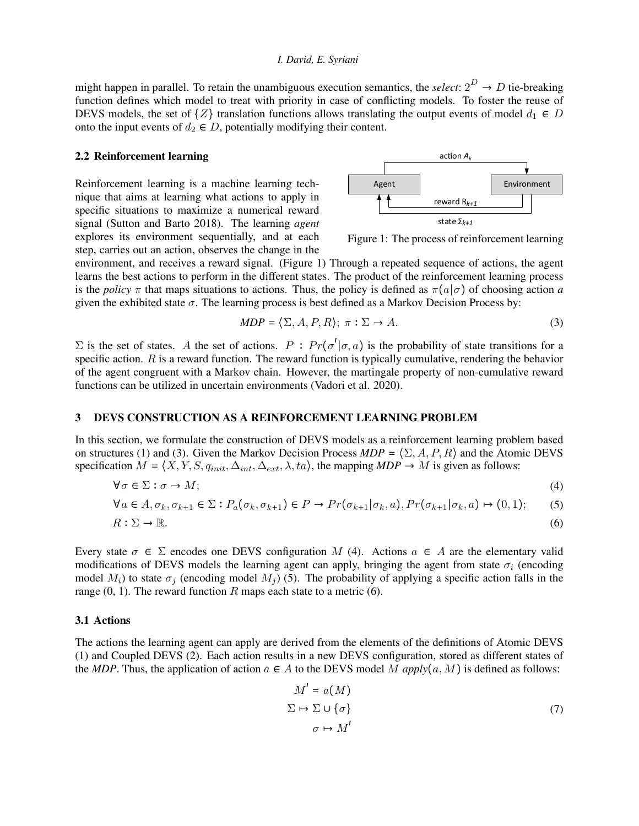might happen in parallel. To retain the unambiguous execution semantics, the *select*:  $2^D \rightarrow D$  tie-breaking function defines which model to treat with priority in case of conflicting models. To foster the reuse of DEVS models, the set of  $\{Z\}$  translation functions allows translating the output events of model  $d_1 \in D$ onto the input events of  $d_2 \in D$ , potentially modifying their content.

#### 2.2 Reinforcement learning

Reinforcement learning is a machine learning technique that aims at learning what actions to apply in specific situations to maximize a numerical reward signal [\(Sutton and Barto 2018\)](#page-11-3). The learning *agent* explores its environment sequentially, and at each step, carries out an action, observes the change in the

<span id="page-2-0"></span>

<span id="page-2-2"></span><span id="page-2-1"></span>Figure 1: The process of reinforcement learning

environment, and receives a reward signal. (Figure [1\)](#page-2-0) Through a repeated sequence of actions, the agent learns the best actions to perform in the different states. The product of the reinforcement learning process is the *policy*  $\pi$  that maps situations to actions. Thus, the policy is defined as  $\pi(a|\sigma)$  of choosing action *a* given the exhibited state  $\sigma$ . The learning process is best defined as a Markov Decision Process by:

$$
MDP = \langle \Sigma, A, P, R \rangle; \ \pi : \Sigma \to A. \tag{3}
$$

Σ is the set of states. A the set of actions.  $P$ :  $Pr(σ' | σ, a)$  is the probability of state transitions for a specific action.  $R$  is a reward function. The reward function is typically cumulative, rendering the behavior of the agent congruent with a Markov chain. However, the martingale property of non-cumulative reward functions can be utilized in uncertain environments [\(Vadori et al. 2020\)](#page-11-5).

#### <span id="page-2-6"></span>3 DEVS CONSTRUCTION AS A REINFORCEMENT LEARNING PROBLEM

In this section, we formulate the construction of DEVS models as a reinforcement learning problem based on structures [\(1\)](#page-1-0) and [\(3\)](#page-2-1). Given the Markov Decision Process  $MDP = \langle \Sigma, A, P, R \rangle$  and the Atomic DEVS specification  $M = \langle X, Y, S, q_{init}, \Delta_{int}, \Delta_{ext}, \lambda, ta \rangle$ , the mapping  $MDP \rightarrow M$  is given as follows:

$$
\forall \sigma \in \Sigma : \sigma \to M; \tag{4}
$$

$$
\forall a \in A, \sigma_k, \sigma_{k+1} \in \Sigma: P_a(\sigma_k, \sigma_{k+1}) \in P \to Pr(\sigma_{k+1} | \sigma_k, a), Pr(\sigma_{k+1} | \sigma_k, a) \mapsto (0, 1); \tag{5}
$$

$$
R: \Sigma \to \mathbb{R}.\tag{6}
$$

Every state  $\sigma \in \Sigma$  encodes one DEVS configuration M [\(4\)](#page-2-2). Actions  $a \in A$  are the elementary valid modifications of DEVS models the learning agent can apply, bringing the agent from state  $\sigma_i$  (encoding model  $M_i$ ) to state  $\sigma_j$  (encoding model  $M_j$ ) [\(5\)](#page-2-3). The probability of applying a specific action falls in the range  $(0, 1)$ . The reward function R maps each state to a metric  $(6)$ .

### 3.1 Actions

The actions the learning agent can apply are derived from the elements of the definitions of Atomic DEVS [\(1\)](#page-1-0) and Coupled DEVS [\(2\)](#page-1-1). Each action results in a new DEVS configuration, stored as different states of the *MDP*. Thus, the application of action  $a \in A$  to the DEVS model M  $apply(a, M)$  is defined as follows:

<span id="page-2-5"></span><span id="page-2-4"></span><span id="page-2-3"></span>
$$
M' = a(M)
$$
  
\n
$$
\Sigma \mapsto \Sigma \cup \{\sigma\}
$$
  
\n
$$
\sigma \mapsto M'
$$
 (7)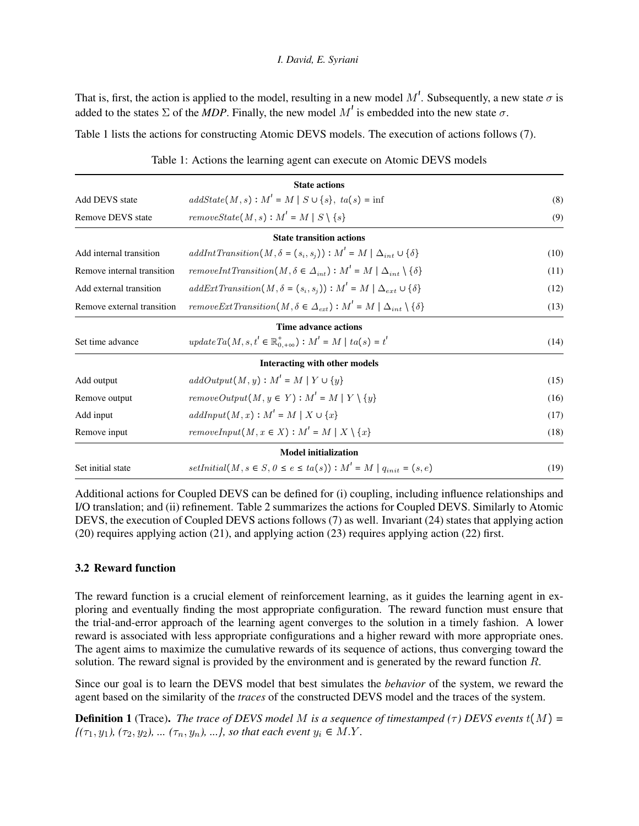That is, first, the action is applied to the model, resulting in a new model  $M'$ . Subsequently, a new state  $\sigma$  is added to the states  $\Sigma$  of the *MDP*. Finally, the new model  $M'$  is embedded into the new state  $\sigma$ .

<span id="page-3-0"></span>Table [1](#page-3-0) lists the actions for constructing Atomic DEVS models. The execution of actions follows [\(7\)](#page-2-5).

|                                                                                                                            | <b>State actions</b>                                                                         |      |  |  |
|----------------------------------------------------------------------------------------------------------------------------|----------------------------------------------------------------------------------------------|------|--|--|
| <b>Add DEVS</b> state                                                                                                      | (8)                                                                                          |      |  |  |
| Remove DEVS state                                                                                                          | (9)                                                                                          |      |  |  |
|                                                                                                                            | <b>State transition actions</b>                                                              |      |  |  |
| Add internal transition                                                                                                    | $addInt Transition(M, \delta = (s_i, s_j)) : M' = M   \Delta_{int} \cup {\delta}$            | (10) |  |  |
| removeIntTransition(M, $\delta \in \Delta_{int}$ ): $M' = M \Delta_{int} \setminus {\delta}$<br>Remove internal transition |                                                                                              | (11) |  |  |
| Add external transition                                                                                                    | (12)                                                                                         |      |  |  |
| Remove external transition                                                                                                 | removeExtTransition(M, $\delta \in \Delta_{ext}$ ): $M' = M \Delta_{int} \setminus {\delta}$ |      |  |  |
|                                                                                                                            | Time advance actions                                                                         |      |  |  |
| Set time advance                                                                                                           | $update \, Ta(M, s, t' \in \mathbb{R}^+_{0.+\infty}) : M' = M \mid ta(s) = t'$               | (14) |  |  |
|                                                                                                                            | Interacting with other models                                                                |      |  |  |
| Add output                                                                                                                 | $addOutput(M, y): M' = M   Y \cup \{y\}$                                                     | (15) |  |  |
| $removeOutput(M, y \in Y) : M' = M   Y \setminus \{y\}$<br>Remove output                                                   |                                                                                              | (16) |  |  |
| $addInput(M, x): M' = M   X \cup \{x\}$<br>Add input                                                                       |                                                                                              | (17) |  |  |
| Remove input                                                                                                               | $removeInput(M, x \in X): M' = M   X \setminus \{x\}$                                        | (18) |  |  |
|                                                                                                                            | <b>Model initialization</b>                                                                  |      |  |  |
| Set initial state                                                                                                          | $setInitial(M, s \in S, 0 \le e \le ta(s)) : M' = M   q_{init} = (s, e)$                     | (19) |  |  |

<span id="page-3-1"></span>Table 1: Actions the learning agent can execute on Atomic DEVS models

Additional actions for Coupled DEVS can be defined for (i) coupling, including influence relationships and I/O translation; and (ii) refinement. Table [2](#page-4-0) summarizes the actions for Coupled DEVS. Similarly to Atomic DEVS, the execution of Coupled DEVS actions follows [\(7\)](#page-2-5) as well. Invariant [\(24\)](#page-4-1) states that applying action [\(20\)](#page-4-2) requires applying action [\(21\)](#page-4-3), and applying action [\(23\)](#page-4-4) requires applying action [\(22\)](#page-4-5) first.

## 3.2 Reward function

The reward function is a crucial element of reinforcement learning, as it guides the learning agent in exploring and eventually finding the most appropriate configuration. The reward function must ensure that the trial-and-error approach of the learning agent converges to the solution in a timely fashion. A lower reward is associated with less appropriate configurations and a higher reward with more appropriate ones. The agent aims to maximize the cumulative rewards of its sequence of actions, thus converging toward the solution. The reward signal is provided by the environment and is generated by the reward function R.

Since our goal is to learn the DEVS model that best simulates the *behavior* of the system, we reward the agent based on the similarity of the *traces* of the constructed DEVS model and the traces of the system.

**Definition 1** (Trace). *The trace of DEVS model M is a sequence of timestamped*  $(\tau)$  *DEVS events*  $t(M) =$  $\{( \tau_1, y_1), (\tau_2, y_2), \dots, (\tau_n, y_n), \dots \}$ , so that each event  $y_i \in M.Y$ .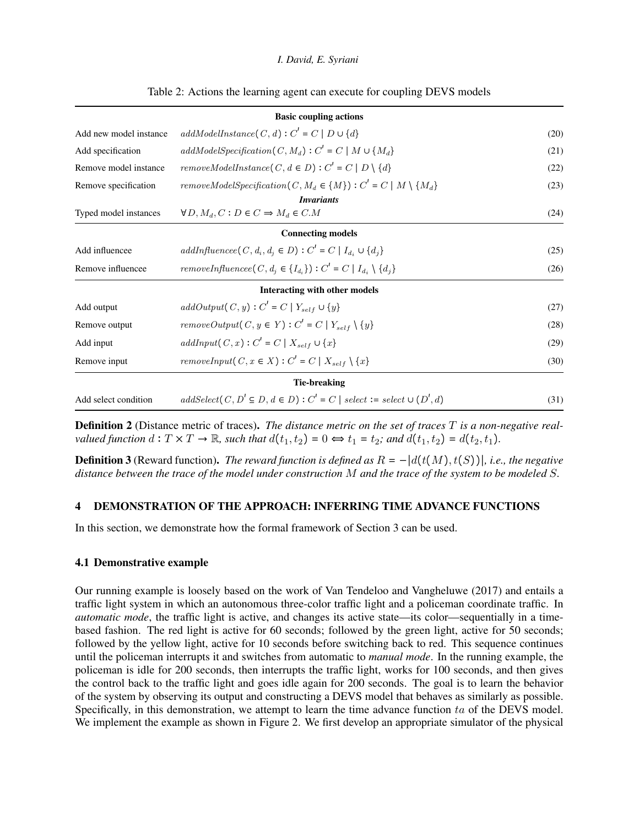<span id="page-4-0"></span>

|                                                                                  | <b>Basic coupling actions</b>                                                      |      |  |  |
|----------------------------------------------------------------------------------|------------------------------------------------------------------------------------|------|--|--|
| Add new model instance                                                           | (20)                                                                               |      |  |  |
| Add specification                                                                | (21)                                                                               |      |  |  |
| Remove model instance                                                            | (22)                                                                               |      |  |  |
| Remove specification                                                             | (23)                                                                               |      |  |  |
|                                                                                  | <i>Invariants</i>                                                                  |      |  |  |
| Typed model instances                                                            | $\forall D, M_d, C: D \in C \Rightarrow M_d \in C.M$                               |      |  |  |
|                                                                                  | <b>Connecting models</b>                                                           |      |  |  |
| Add influencee                                                                   | $addInfluence(C, d_i, d_i \in D): C' = C   I_{d_i} \cup \{d_i\}$                   | (25) |  |  |
| Remove influencee                                                                | (26)                                                                               |      |  |  |
|                                                                                  | Interacting with other models                                                      |      |  |  |
| Add output                                                                       | $addOutput(C, y): C' = C \mid Y_{self} \cup \{y\}$                                 | (27) |  |  |
| Remove output                                                                    | removeOutput(C, $y \in Y$ ): $C' = C   Y_{self} \setminus \{y\}$                   | (28) |  |  |
| $addInput(C, x): C' = C \mid X_{self} \cup \{x\}$<br>Add input                   |                                                                                    | (29) |  |  |
| removeInput(C, x $\in X$ ) : C' = C   $X_{self} \setminus \{x\}$<br>Remove input |                                                                                    | (30) |  |  |
|                                                                                  | Tie-breaking                                                                       |      |  |  |
| Add select condition                                                             | $addSelect(C, D' \subseteq D, d \in D): C' = C \mid select := select \cup (D', d)$ | (31) |  |  |

#### <span id="page-4-5"></span><span id="page-4-4"></span><span id="page-4-3"></span><span id="page-4-2"></span><span id="page-4-1"></span>Table 2: Actions the learning agent can execute for coupling DEVS models

Definition 2 (Distance metric of traces). *The distance metric on the set of traces* T *is a non-negative realvalued function*  $d: T \times T \to \mathbb{R}$ *, such that*  $d(t_1, t_2) = 0 \Leftrightarrow t_1 = t_2$ *; and*  $d(t_1, t_2) = d(t_2, t_1)$ *.* 

<span id="page-4-6"></span>**Definition 3** (Reward function). *The reward function is defined as*  $R = -|d(t(M), t(S))|$ *, i.e., the negative distance between the trace of the model under construction* M *and the trace of the system to be modeled* S*.*

#### <span id="page-4-7"></span>4 DEMONSTRATION OF THE APPROACH: INFERRING TIME ADVANCE FUNCTIONS

In this section, we demonstrate how the formal framework of Section [3](#page-2-6) can be used.

#### 4.1 Demonstrative example

Our running example is loosely based on the work of [Van Tendeloo and Vangheluwe \(2017\)](#page-11-4) and entails a traffic light system in which an autonomous three-color traffic light and a policeman coordinate traffic. In *automatic mode*, the traffic light is active, and changes its active state—its color—sequentially in a timebased fashion. The red light is active for 60 seconds; followed by the green light, active for 50 seconds; followed by the yellow light, active for 10 seconds before switching back to red. This sequence continues until the policeman interrupts it and switches from automatic to *manual mode*. In the running example, the policeman is idle for 200 seconds, then interrupts the traffic light, works for 100 seconds, and then gives the control back to the traffic light and goes idle again for 200 seconds. The goal is to learn the behavior of the system by observing its output and constructing a DEVS model that behaves as similarly as possible. Specifically, in this demonstration, we attempt to learn the time advance function ta of the DEVS model. We implement the example as shown in Figure [2.](#page-5-0) We first develop an appropriate simulator of the physical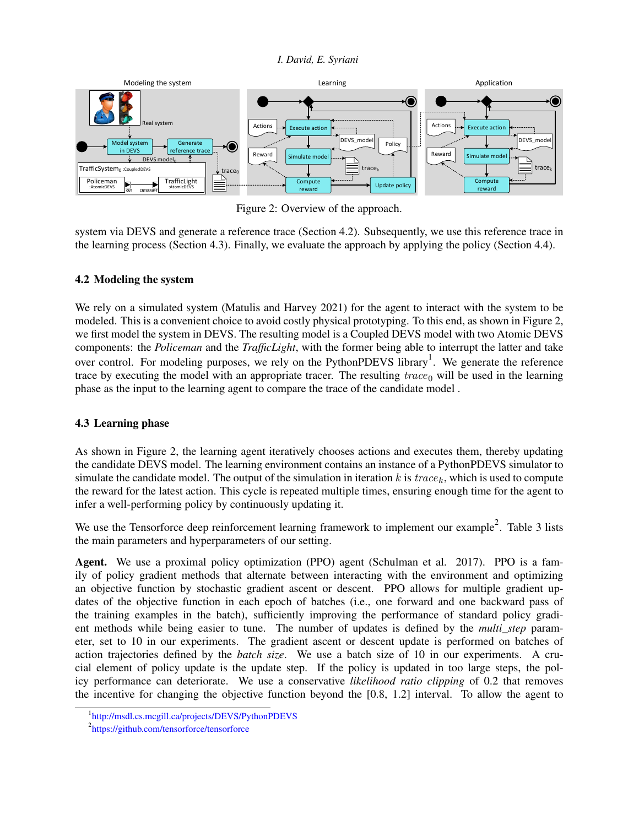<span id="page-5-0"></span>

Figure 2: Overview of the approach.

system via DEVS and generate a reference trace (Section [4.2\)](#page-5-1). Subsequently, we use this reference trace in the learning process (Section [4.3\)](#page-5-2). Finally, we evaluate the approach by applying the policy (Section [4.4\)](#page-7-0).

## <span id="page-5-1"></span>4.2 Modeling the system

We rely on a simulated system [\(Matulis and Harvey 2021\)](#page-11-6) for the agent to interact with the system to be modeled. This is a convenient choice to avoid costly physical prototyping. To this end, as shown in Figure [2,](#page-5-0) we first model the system in DEVS. The resulting model is a Coupled DEVS model with two Atomic DEVS components: the *Policeman* and the *TrafficLight*, with the former being able to interrupt the latter and take over control. For modeling purposes, we rely on the PythonPDEVS library<sup>[1](#page-5-3)</sup>. We generate the reference trace by executing the model with an appropriate tracer. The resulting  $trace_0$  will be used in the learning phase as the input to the learning agent to compare the trace of the candidate model .

## <span id="page-5-2"></span>4.3 Learning phase

As shown in Figure [2,](#page-5-0) the learning agent iteratively chooses actions and executes them, thereby updating the candidate DEVS model. The learning environment contains an instance of a PythonPDEVS simulator to simulate the candidate model. The output of the simulation in iteration k is  $trace<sub>k</sub>$ , which is used to compute the reward for the latest action. This cycle is repeated multiple times, ensuring enough time for the agent to infer a well-performing policy by continuously updating it.

We use the Tensorforce deep reinforcement learning framework to implement our example<sup>[2](#page-5-4)</sup>. Table [3](#page-6-0) lists the main parameters and hyperparameters of our setting.

Agent. We use a proximal policy optimization (PPO) agent [\(Schulman et al. 2017\)](#page-11-7). PPO is a family of policy gradient methods that alternate between interacting with the environment and optimizing an objective function by stochastic gradient ascent or descent. PPO allows for multiple gradient updates of the objective function in each epoch of batches (i.e., one forward and one backward pass of the training examples in the batch), sufficiently improving the performance of standard policy gradient methods while being easier to tune. The number of updates is defined by the *multi\_step* parameter, set to 10 in our experiments. The gradient ascent or descent update is performed on batches of action trajectories defined by the *batch size*. We use a batch size of 10 in our experiments. A crucial element of policy update is the update step. If the policy is updated in too large steps, the policy performance can deteriorate. We use a conservative *likelihood ratio clipping* of 0.2 that removes the incentive for changing the objective function beyond the [0.8, 1.2] interval. To allow the agent to

<span id="page-5-3"></span><sup>1</sup> <http://msdl.cs.mcgill.ca/projects/DEVS/PythonPDEVS>

<span id="page-5-4"></span><sup>2</sup> <https://github.com/tensorforce/tensorforce>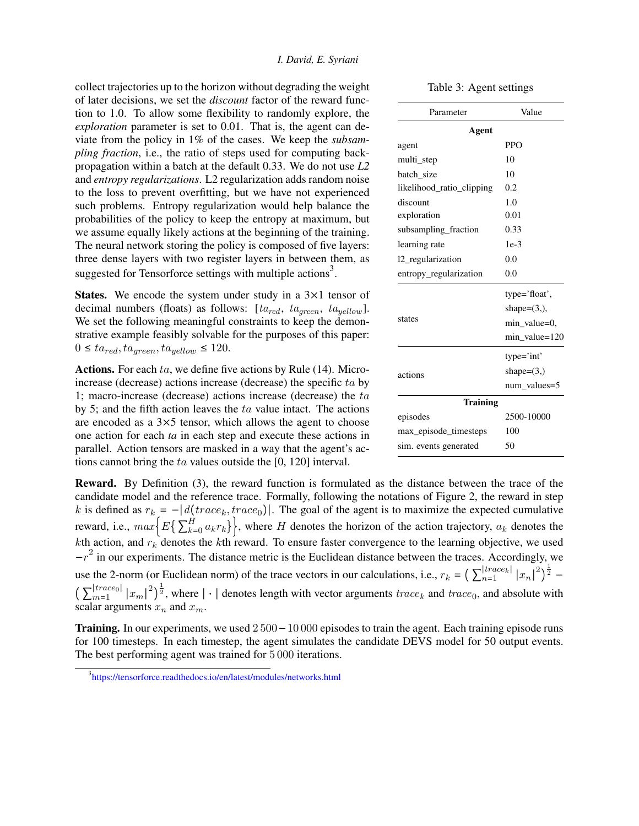collect trajectories up to the horizon without degrading the weight of later decisions, we set the *discount* factor of the reward function to 1.0. To allow some flexibility to randomly explore, the *exploration* parameter is set to 0.01. That is, the agent can deviate from the policy in 1% of the cases. We keep the *subsampling fraction*, i.e., the ratio of steps used for computing backpropagation within a batch at the default 0.33. We do not use *L2* and *entropy regularizations*. L2 regularization adds random noise to the loss to prevent overfitting, but we have not experienced such problems. Entropy regularization would help balance the probabilities of the policy to keep the entropy at maximum, but we assume equally likely actions at the beginning of the training. The neural network storing the policy is composed of five layers: three dense layers with two register layers in between them, as suggested for Tensorforce settings with multiple actions<sup>[3](#page-6-1)</sup>.

**States.** We encode the system under study in a  $3 \times 1$  tensor of decimal numbers (floats) as follows:  $[ta_{red}, ta_{green}, ta_{yellow}]$ . We set the following meaningful constraints to keep the demonstrative example feasibly solvable for the purposes of this paper:  $0 \leq ta_{red}, ta_{green}, ta_{yellow} \leq 120.$ 

Actions. For each ta, we define five actions by Rule [\(14\)](#page-3-1). Microincrease (decrease) actions increase (decrease) the specific ta by 1; macro-increase (decrease) actions increase (decrease) the  $ta$ by 5; and the fifth action leaves the ta value intact. The actions are encoded as a 3×5 tensor, which allows the agent to choose one action for each *ta* in each step and execute these actions in parallel. Action tensors are masked in a way that the agent's actions cannot bring the ta values outside the [0, 120] interval.

| multi_step                | 10             |  |  |  |
|---------------------------|----------------|--|--|--|
| batch_size                | 10             |  |  |  |
| likelihood_ratio_clipping | 0.2            |  |  |  |
| discount                  | 1.0            |  |  |  |
| exploration               | 0.01           |  |  |  |
| subsampling_fraction      | 0.33           |  |  |  |
| learning rate             | $1e-3$         |  |  |  |
| 12 regularization         | 0.0            |  |  |  |
| entropy_regularization    | 0.0            |  |  |  |
|                           | type='float',  |  |  |  |
|                           | shape= $(3,),$ |  |  |  |
| states                    | min_value=0,   |  |  |  |
|                           | min_value=120  |  |  |  |
|                           | type='int'     |  |  |  |
| actions                   | shape= $(3, )$ |  |  |  |
|                           | num_values=5   |  |  |  |
| <b>Training</b>           |                |  |  |  |
| episodes                  | 2500-10000     |  |  |  |
| max_episode_timesteps     | 100            |  |  |  |

sim. events generated 50

Reward. By Definition [\(3\)](#page-4-6), the reward function is formulated as the distance between the trace of the candidate model and the reference trace. Formally, following the notations of Figure [2,](#page-5-0) the reward in step k is defined as  $r_k = -\frac{d}{d}(\text{trace}_k, \text{trace}_0)$ . The goal of the agent is to maximize the expected cumulative reward, i.e.,  $max\{E\} \sum_{k=1}^{H}$  $\{f_{k=0}^{H} a_k r_k \}$ , where H denotes the horizon of the action trajectory,  $a_k$  denotes the kth action, and  $r_k$  denotes the kth reward. To ensure faster convergence to the learning objective, we used  $-r^2$  in our experiments. The distance metric is the Euclidean distance between the traces. Accordingly, we use the 2-norm (or Euclidean norm) of the trace vectors in our calculations, i.e.,  $r_k = \left(\sum_{n=1}^{|trace_k|}\right)^{|\hat{E}|}$  $\left| \frac{trace_{k}}{n=1} \right| |x_{n}|^{2} \right)^{\frac{1}{2}} \left(\right. \sum_{m=1}^{|trace_{0}|}$  $|_{m=1}^{|trace_0|}|x_m|^2\right)^{\frac{1}{2}}$ , where  $|\cdot|$  denotes length with vector arguments  $trace_k$  and  $trace_0$ , and absolute with scalar arguments  $x_n$  and  $x_m$ .

**Training.** In our experiments, we used  $2500-10000$  episodes to train the agent. Each training episode runs for 100 timesteps. In each timestep, the agent simulates the candidate DEVS model for 50 output events. The best performing agent was trained for 5 000 iterations.

<span id="page-6-0"></span>Table 3: Agent settings

agent PPO

Parameter **Value** Agent

<span id="page-6-1"></span><sup>3</sup> <https://tensorforce.readthedocs.io/en/latest/modules/networks.html>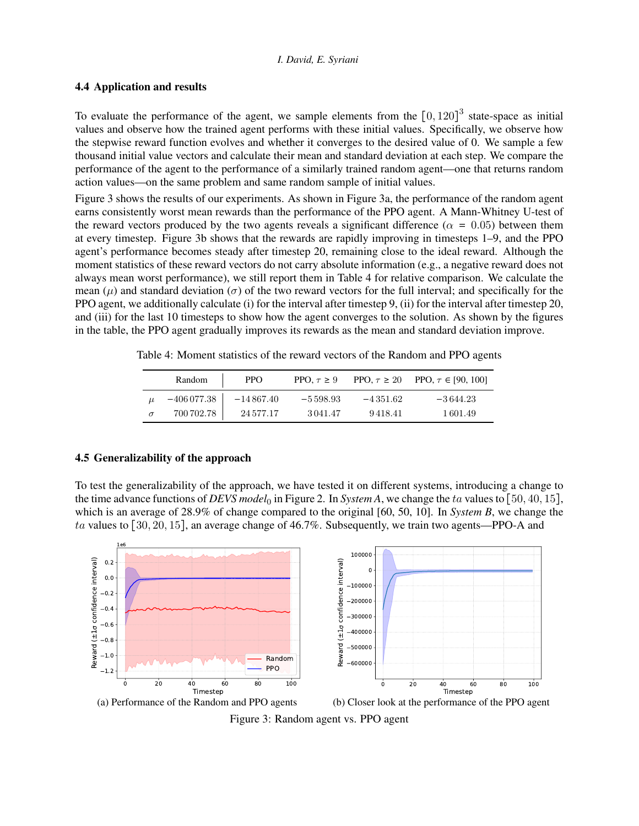### <span id="page-7-0"></span>4.4 Application and results

To evaluate the performance of the agent, we sample elements from the  $[0, 120]^3$  state-space as initial values and observe how the trained agent performs with these initial values. Specifically, we observe how the stepwise reward function evolves and whether it converges to the desired value of 0. We sample a few thousand initial value vectors and calculate their mean and standard deviation at each step. We compare the performance of the agent to the performance of a similarly trained random agent—one that returns random action values—on the same problem and same random sample of initial values.

Figure [3](#page-7-1) shows the results of our experiments. As shown in Figure [3a,](#page-7-1) the performance of the random agent earns consistently worst mean rewards than the performance of the PPO agent. A Mann-Whitney U-test of the reward vectors produced by the two agents reveals a significant difference ( $\alpha = 0.05$ ) between them at every timestep. Figure [3b](#page-7-1) shows that the rewards are rapidly improving in timesteps 1–9, and the PPO agent's performance becomes steady after timestep 20, remaining close to the ideal reward. Although the moment statistics of these reward vectors do not carry absolute information (e.g., a negative reward does not always mean worst performance), we still report them in Table [4](#page-7-2) for relative comparison. We calculate the mean ( $\mu$ ) and standard deviation ( $\sigma$ ) of the two reward vectors for the full interval; and specifically for the PPO agent, we additionally calculate (i) for the interval after timestep 9, (ii) for the interval after timestep 20, and (iii) for the last 10 timesteps to show how the agent converges to the solution. As shown by the figures in the table, the PPO agent gradually improves its rewards as the mean and standard deviation improve.

|          | Random         | <b>PPO</b>     | PPO, $\tau \geq 9$ |            | PPO, $\tau \ge 20$ PPO, $\tau \in [90, 100]$ |
|----------|----------------|----------------|--------------------|------------|----------------------------------------------|
|          | $-406\,077.38$ | $-14\,867.40$  | $-5598.93$         | $-4351.62$ | $-3644.23$                                   |
| $\sigma$ | 700 702.78     | 24 5 7 7 . 1 7 | 3041.47            | 9418.41    | 1601.49                                      |

<span id="page-7-2"></span>Table 4: Moment statistics of the reward vectors of the Random and PPO agents

### <span id="page-7-3"></span>4.5 Generalizability of the approach

To test the generalizability of the approach, we have tested it on different systems, introducing a change to the time advance functions of *DEVS model*<sub>0</sub> in Figure [2.](#page-5-0) In *System A*, we change the ta values to [50, 40, 15], which is an average of 28.9% of change compared to the original [60, 50, 10]. In *System B*, we change the ta values to [30, 20, 15], an average change of 46.7%. Subsequently, we train two agents—PPO-A and

<span id="page-7-1"></span>

Figure 3: Random agent vs. PPO agent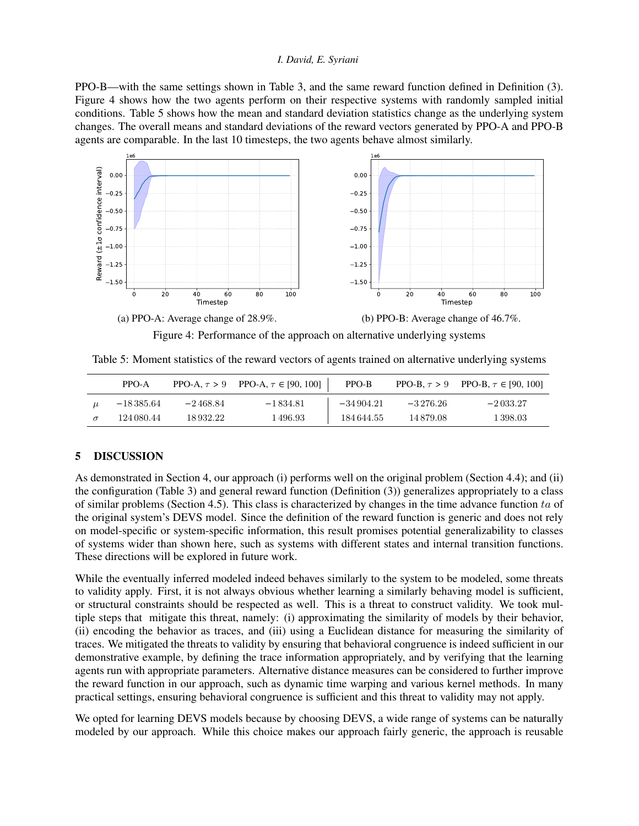PPO-B—with the same settings shown in Table [3,](#page-6-0) and the same reward function defined in Definition [\(3\)](#page-4-6). Figure [4](#page-8-0) shows how the two agents perform on their respective systems with randomly sampled initial conditions. Table [5](#page-8-1) shows how the mean and standard deviation statistics change as the underlying system changes. The overall means and standard deviations of the reward vectors generated by PPO-A and PPO-B agents are comparable. In the last 10 timesteps, the two agents behave almost similarly.

<span id="page-8-0"></span>

Figure 4: Performance of the approach on alternative underlying systems

<span id="page-8-1"></span>Table 5: Moment statistics of the reward vectors of agents trained on alternative underlying systems

|          | PPO-A         |              | PPO-A, $\tau > 9$ PPO-A, $\tau \in [90, 100]$ | PPO-B       |              | PPO-B, $\tau > 9$ PPO-B, $\tau \in [90, 100]$ |
|----------|---------------|--------------|-----------------------------------------------|-------------|--------------|-----------------------------------------------|
|          | $-18\,385.64$ | $-2\,468.84$ | $-1834.81$                                    | $-34904.21$ | $-3\,276.26$ | $-2033.27$                                    |
| $\sigma$ | 124 080.44    | 18932.22     | 1 496.93                                      | 184644.55   | 14879.08     | 1 398.03                                      |

## 5 DISCUSSION

As demonstrated in Section [4,](#page-4-7) our approach (i) performs well on the original problem (Section [4.4\)](#page-7-0); and (ii) the configuration (Table [3\)](#page-6-0) and general reward function (Definition [\(3\)](#page-4-6)) generalizes appropriately to a class of similar problems (Section [4.5\)](#page-7-3). This class is characterized by changes in the time advance function ta of the original system's DEVS model. Since the definition of the reward function is generic and does not rely on model-specific or system-specific information, this result promises potential generalizability to classes of systems wider than shown here, such as systems with different states and internal transition functions. These directions will be explored in future work.

While the eventually inferred modeled indeed behaves similarly to the system to be modeled, some threats to validity apply. First, it is not always obvious whether learning a similarly behaving model is sufficient, or structural constraints should be respected as well. This is a threat to construct validity. We took multiple steps that mitigate this threat, namely: (i) approximating the similarity of models by their behavior, (ii) encoding the behavior as traces, and (iii) using a Euclidean distance for measuring the similarity of traces. We mitigated the threats to validity by ensuring that behavioral congruence is indeed sufficient in our demonstrative example, by defining the trace information appropriately, and by verifying that the learning agents run with appropriate parameters. Alternative distance measures can be considered to further improve the reward function in our approach, such as dynamic time warping and various kernel methods. In many practical settings, ensuring behavioral congruence is sufficient and this threat to validity may not apply.

We opted for learning DEVS models because by choosing DEVS, a wide range of systems can be naturally modeled by our approach. While this choice makes our approach fairly generic, the approach is reusable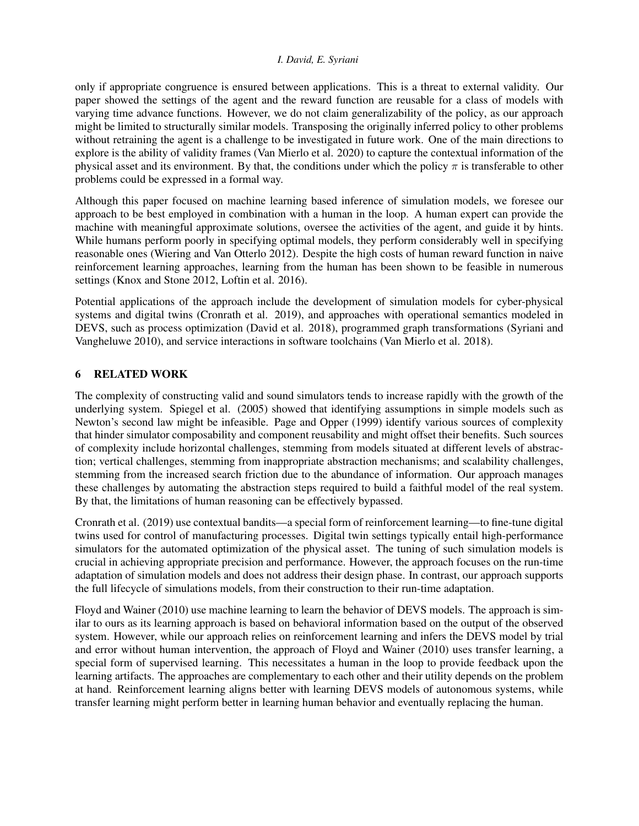only if appropriate congruence is ensured between applications. This is a threat to external validity. Our paper showed the settings of the agent and the reward function are reusable for a class of models with varying time advance functions. However, we do not claim generalizability of the policy, as our approach might be limited to structurally similar models. Transposing the originally inferred policy to other problems without retraining the agent is a challenge to be investigated in future work. One of the main directions to explore is the ability of validity frames [\(Van Mierlo et al. 2020\)](#page-11-8) to capture the contextual information of the physical asset and its environment. By that, the conditions under which the policy  $\pi$  is transferable to other problems could be expressed in a formal way.

Although this paper focused on machine learning based inference of simulation models, we foresee our approach to be best employed in combination with a human in the loop. A human expert can provide the machine with meaningful approximate solutions, oversee the activities of the agent, and guide it by hints. While humans perform poorly in specifying optimal models, they perform considerably well in specifying reasonable ones [\(Wiering and Van Otterlo 2012\)](#page-11-9). Despite the high costs of human reward function in naive reinforcement learning approaches, learning from the human has been shown to be feasible in numerous settings [\(Knox and Stone 2012,](#page-10-2) [Loftin et al. 2016\)](#page-10-3).

Potential applications of the approach include the development of simulation models for cyber-physical systems and digital twins [\(Cronrath et al. 2019\)](#page-10-4), and approaches with operational semantics modeled in DEVS, such as process optimization [\(David et al. 2018\)](#page-10-5), programmed graph transformations [\(Syriani and](#page-11-10) [Vangheluwe 2010\)](#page-11-10), and service interactions in software toolchains [\(Van Mierlo et al. 2018\)](#page-11-11).

## 6 RELATED WORK

The complexity of constructing valid and sound simulators tends to increase rapidly with the growth of the underlying system. [Spiegel et al. \(2005\)](#page-11-12) showed that identifying assumptions in simple models such as Newton's second law might be infeasible. [Page and Opper \(1999\)](#page-11-13) identify various sources of complexity that hinder simulator composability and component reusability and might offset their benefits. Such sources of complexity include horizontal challenges, stemming from models situated at different levels of abstraction; vertical challenges, stemming from inappropriate abstraction mechanisms; and scalability challenges, stemming from the increased search friction due to the abundance of information. Our approach manages these challenges by automating the abstraction steps required to build a faithful model of the real system. By that, the limitations of human reasoning can be effectively bypassed.

[Cronrath et al. \(2019\)](#page-10-4) use contextual bandits—a special form of reinforcement learning—to fine-tune digital twins used for control of manufacturing processes. Digital twin settings typically entail high-performance simulators for the automated optimization of the physical asset. The tuning of such simulation models is crucial in achieving appropriate precision and performance. However, the approach focuses on the run-time adaptation of simulation models and does not address their design phase. In contrast, our approach supports the full lifecycle of simulations models, from their construction to their run-time adaptation.

[Floyd and Wainer \(2010\)](#page-10-6) use machine learning to learn the behavior of DEVS models. The approach is similar to ours as its learning approach is based on behavioral information based on the output of the observed system. However, while our approach relies on reinforcement learning and infers the DEVS model by trial and error without human intervention, the approach of [Floyd and Wainer \(2010\)](#page-10-6) uses transfer learning, a special form of supervised learning. This necessitates a human in the loop to provide feedback upon the learning artifacts. The approaches are complementary to each other and their utility depends on the problem at hand. Reinforcement learning aligns better with learning DEVS models of autonomous systems, while transfer learning might perform better in learning human behavior and eventually replacing the human.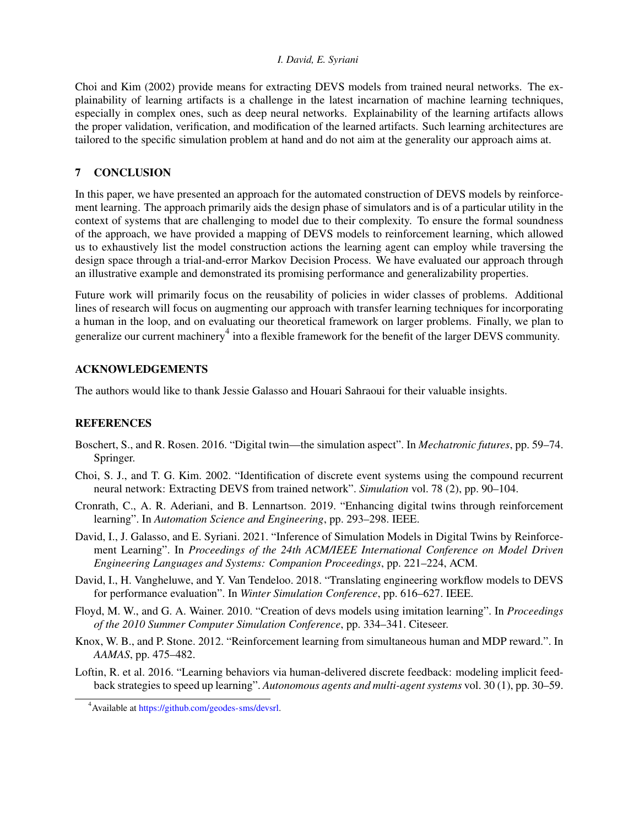[Choi and Kim \(2002\)](#page-10-7) provide means for extracting DEVS models from trained neural networks. The explainability of learning artifacts is a challenge in the latest incarnation of machine learning techniques, especially in complex ones, such as deep neural networks. Explainability of the learning artifacts allows the proper validation, verification, and modification of the learned artifacts. Such learning architectures are tailored to the specific simulation problem at hand and do not aim at the generality our approach aims at.

## 7 CONCLUSION

In this paper, we have presented an approach for the automated construction of DEVS models by reinforcement learning. The approach primarily aids the design phase of simulators and is of a particular utility in the context of systems that are challenging to model due to their complexity. To ensure the formal soundness of the approach, we have provided a mapping of DEVS models to reinforcement learning, which allowed us to exhaustively list the model construction actions the learning agent can employ while traversing the design space through a trial-and-error Markov Decision Process. We have evaluated our approach through an illustrative example and demonstrated its promising performance and generalizability properties.

Future work will primarily focus on the reusability of policies in wider classes of problems. Additional lines of research will focus on augmenting our approach with transfer learning techniques for incorporating a human in the loop, and on evaluating our theoretical framework on larger problems. Finally, we plan to generalize our current machinery<sup>[4](#page-10-8)</sup> into a flexible framework for the benefit of the larger DEVS community.

## ACKNOWLEDGEMENTS

The authors would like to thank Jessie Galasso and Houari Sahraoui for their valuable insights.

## REFERENCES

- <span id="page-10-0"></span>Boschert, S., and R. Rosen. 2016. "Digital twin—the simulation aspect". In *Mechatronic futures*, pp. 59–74. Springer.
- <span id="page-10-7"></span>Choi, S. J., and T. G. Kim. 2002. "Identification of discrete event systems using the compound recurrent neural network: Extracting DEVS from trained network". *Simulation* vol. 78 (2), pp. 90–104.
- <span id="page-10-4"></span>Cronrath, C., A. R. Aderiani, and B. Lennartson. 2019. "Enhancing digital twins through reinforcement learning". In *Automation Science and Engineering*, pp. 293–298. IEEE.
- <span id="page-10-1"></span>David, I., J. Galasso, and E. Syriani. 2021. "Inference of Simulation Models in Digital Twins by Reinforcement Learning". In *Proceedings of the 24th ACM/IEEE International Conference on Model Driven Engineering Languages and Systems: Companion Proceedings*, pp. 221–224, ACM.
- <span id="page-10-5"></span>David, I., H. Vangheluwe, and Y. Van Tendeloo. 2018. "Translating engineering workflow models to DEVS for performance evaluation". In *Winter Simulation Conference*, pp. 616–627. IEEE.
- <span id="page-10-6"></span>Floyd, M. W., and G. A. Wainer. 2010. "Creation of devs models using imitation learning". In *Proceedings of the 2010 Summer Computer Simulation Conference*, pp. 334–341. Citeseer.
- <span id="page-10-2"></span>Knox, W. B., and P. Stone. 2012. "Reinforcement learning from simultaneous human and MDP reward.". In *AAMAS*, pp. 475–482.
- <span id="page-10-3"></span>Loftin, R. et al. 2016. "Learning behaviors via human-delivered discrete feedback: modeling implicit feedback strategies to speed up learning". *Autonomous agents and multi-agent systems* vol. 30 (1), pp. 30–59.

<span id="page-10-8"></span><sup>&</sup>lt;sup>4</sup>Available at [https://github.com/geodes-sms/devsrl.](https://github.com/geodes-sms/devsrl)